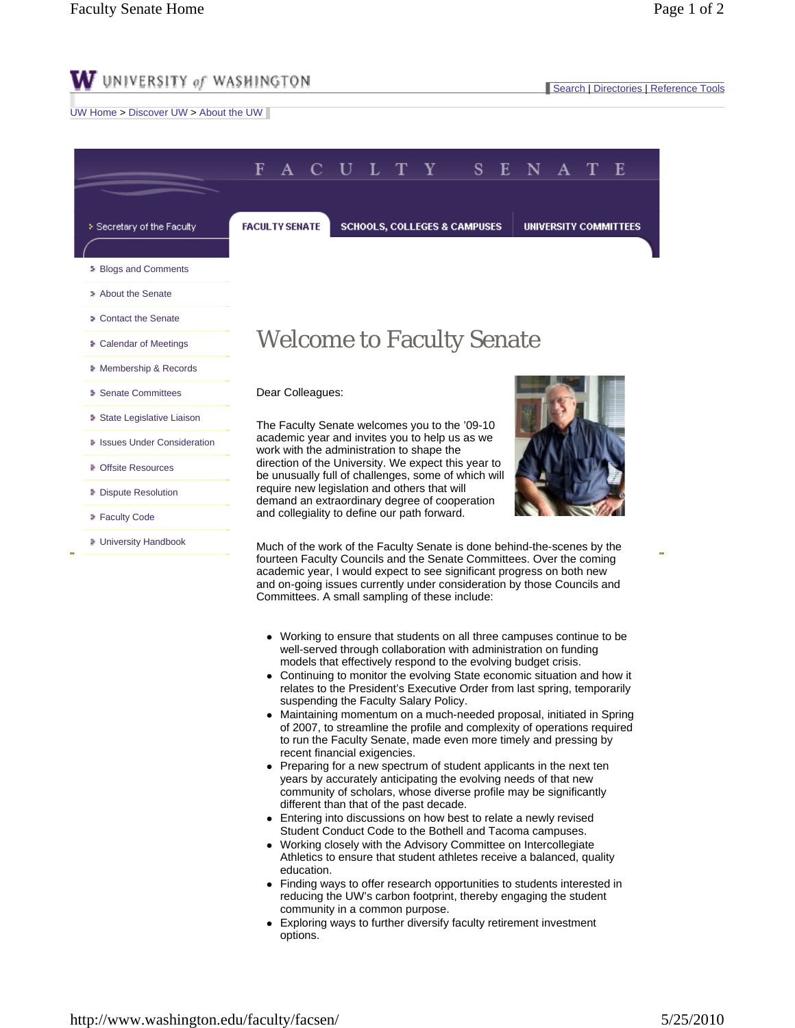## $\mathbf W$  university of washington

UW Home > Discover UW > About the UW

| <b>FACULTY SENATE</b>                                                                         | <b>SCHOOLS, COLLEGES &amp; CAMPUSES</b>                                                                    |                                                | <b>UNIVERSITY COMMITTEES</b> |                                                                                                                                                                                                                                                                                                                                                                             |
|-----------------------------------------------------------------------------------------------|------------------------------------------------------------------------------------------------------------|------------------------------------------------|------------------------------|-----------------------------------------------------------------------------------------------------------------------------------------------------------------------------------------------------------------------------------------------------------------------------------------------------------------------------------------------------------------------------|
|                                                                                               |                                                                                                            |                                                |                              |                                                                                                                                                                                                                                                                                                                                                                             |
|                                                                                               |                                                                                                            |                                                |                              |                                                                                                                                                                                                                                                                                                                                                                             |
|                                                                                               |                                                                                                            |                                                |                              |                                                                                                                                                                                                                                                                                                                                                                             |
|                                                                                               |                                                                                                            |                                                |                              |                                                                                                                                                                                                                                                                                                                                                                             |
|                                                                                               | <b>Welcome to Faculty Senate</b>                                                                           |                                                |                              |                                                                                                                                                                                                                                                                                                                                                                             |
|                                                                                               |                                                                                                            |                                                |                              |                                                                                                                                                                                                                                                                                                                                                                             |
| Dear Colleagues:                                                                              |                                                                                                            |                                                |                              |                                                                                                                                                                                                                                                                                                                                                                             |
| The Faculty Senate welcomes you to the '09-10                                                 |                                                                                                            |                                                |                              |                                                                                                                                                                                                                                                                                                                                                                             |
| academic year and invites you to help us as we<br>work with the administration to shape the   |                                                                                                            |                                                |                              |                                                                                                                                                                                                                                                                                                                                                                             |
|                                                                                               | direction of the University. We expect this year to<br>be unusually full of challenges, some of which will |                                                |                              |                                                                                                                                                                                                                                                                                                                                                                             |
| require new legislation and others that will<br>demand an extraordinary degree of cooperation |                                                                                                            |                                                |                              |                                                                                                                                                                                                                                                                                                                                                                             |
| and collegiality to define our path forward.                                                  |                                                                                                            |                                                |                              |                                                                                                                                                                                                                                                                                                                                                                             |
|                                                                                               |                                                                                                            |                                                |                              |                                                                                                                                                                                                                                                                                                                                                                             |
|                                                                                               |                                                                                                            |                                                |                              |                                                                                                                                                                                                                                                                                                                                                                             |
|                                                                                               |                                                                                                            | Committees. A small sampling of these include: |                              | Much of the work of the Faculty Senate is done behind-the-scenes by the<br>fourteen Faculty Councils and the Senate Committees. Over the coming<br>academic year, I would expect to see significant progress on both new<br>and on-going issues currently under consideration by those Councils and<br>Working to ensure that students on all three campuses continue to be |

- well-served through collaboration with administration on funding models that effectively respond to the evolving budget crisis.
- Continuing to monitor the evolving State economic situation and how it relates to the President's Executive Order from last spring, temporarily suspending the Faculty Salary Policy.
- Maintaining momentum on a much-needed proposal, initiated in Spring of 2007, to streamline the profile and complexity of operations required to run the Faculty Senate, made even more timely and pressing by recent financial exigencies.
- Preparing for a new spectrum of student applicants in the next ten years by accurately anticipating the evolving needs of that new community of scholars, whose diverse profile may be significantly different than that of the past decade.
- Entering into discussions on how best to relate a newly revised Student Conduct Code to the Bothell and Tacoma campuses.
- Working closely with the Advisory Committee on Intercollegiate Athletics to ensure that student athletes receive a balanced, quality education.
- Finding ways to offer research opportunities to students interested in reducing the UW's carbon footprint, thereby engaging the student community in a common purpose.
- Exploring ways to further diversify faculty retirement investment options.